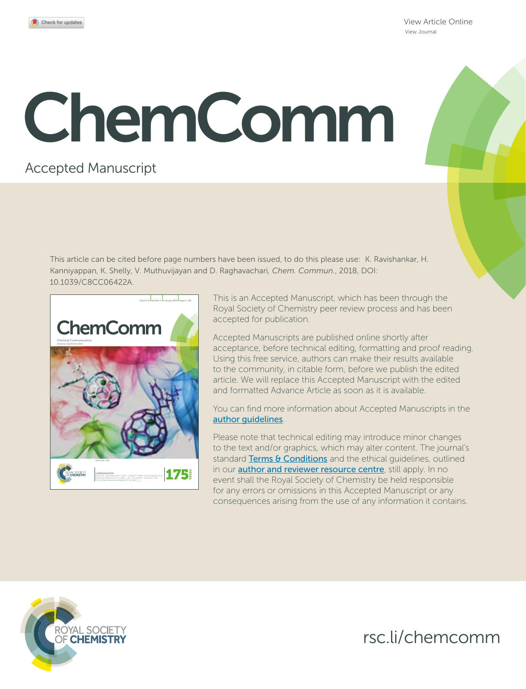View Article Online View Journal

# ChemComm

## Accepted Manuscript

This article can be cited before page numbers have been issued, to do this please use: K. Ravishankar, H. Kanniyappan, K. Shelly, V. Muthuvijayan and D. Raghavachari*, Chem. Commun.*, 2018, DOI: 10.1039/C8CC06422A.



This is an Accepted Manuscript, which has been through the Royal Society of Chemistry peer review process and has been accepted for publication.

Accepted Manuscripts are published online shortly after acceptance, before technical editing, formatting and proof reading. Using this free service, authors can make their results available to the community, in citable form, before we publish the edited article. We will replace this Accepted Manuscript with the edited and formatted Advance Article as soon as it is available.

You can find more information about Accepted Manuscripts in the author guidelines.

Please note that technical editing may introduce minor changes to the text and/or graphics, which may alter content. The journal's standard Terms & Conditions and the ethical quidelines, outlined in our **author and reviewer resource centre**, still apply. In no event shall the Royal Society of Chemistry be held responsible for any errors or omissions in this Accepted Manuscript or any consequences arising from the use of any information it contains.



rsc.li/chemcomm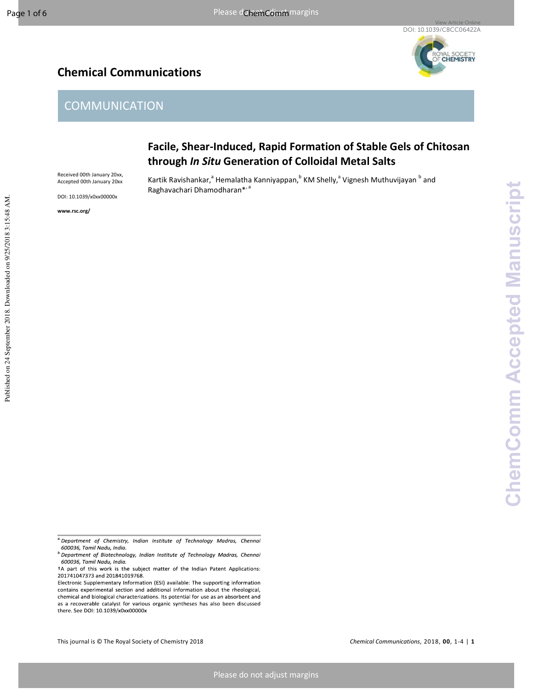Published on 24 September 2018. Downloaded on 9/25/2018 3:15:48 AM.

Published on 24 September 2018. Downloaded on 9/25/2018 3:15:48 AM

# **CHEMISTRY**

### **Chemical Communications**

### **COMMUNICATION**

#### **Facile, Shear-Induced, Rapid Formation of Stable Gels of Chitosan through** *In Situ* **Generation of Colloidal Metal Salts**

Kartik Ravishankar,<sup>a</sup> Hemalatha Kanniyappan,<sup>b</sup> KM Shelly,<sup>a</sup> Vignesh Muthuvijayan <sup>b</sup> and Raghavachari Dhamodharan\*, a

Received 00th January 20xx, Accepted 00th January 20xx

DOI: 10.1039/x0xx00000x

**www.rsc.org/** 

<sup>a</sup>: Department of Chemistry, Indian Institute of Technology Madras, Chennai 600036, Tamil Nadu, India.

b Department of Biotechnology, Indian Institute of Technology Madras, Chennai 600036, Tamil Nadu, India.

<sup>&</sup>lt;sup>†</sup>A part of this work is the subject matter of the Indian Patent Applications: 201741047373 and 201841019768.

Electronic Supplementary Information (ESI) available: The supporting information contains experimental section and additional information about the rheological, chemical and biological characterizations. Its potential for use as an absorbent and as a recoverable catalyst for various organic syntheses has also been discussed there. See DOI: 10.1039/x0xx00000x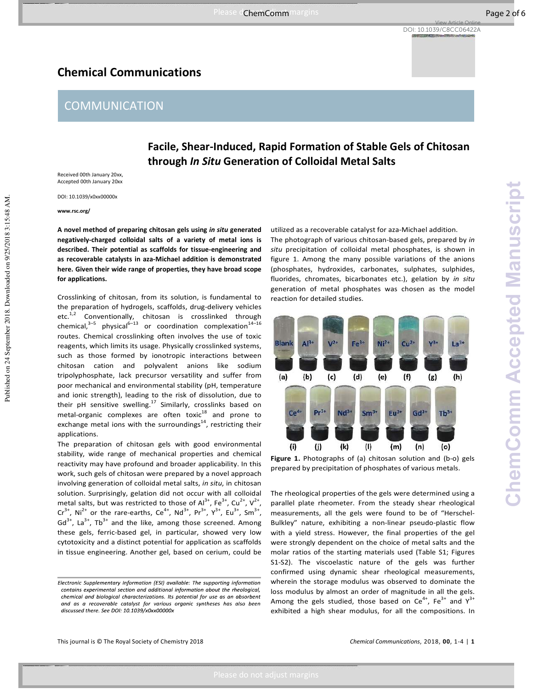Please do not adjust margins and adjust margins and adjust margins of the chemical page 2 of 6

#### **Chemical Communications**

#### **COMMUNICATION**

#### **Facile, Shear-Induced, Rapid Formation of Stable Gels of Chitosan through** *In Situ* **Generation of Colloidal Metal Salts**

Received 00th January 20xx, Accepted 00th January 20xx

DOI: 10.1039/x0xx00000x

**www.rsc.org/** 

Published on 24 September 2018. Downloaded on 9/25/2018 3:15:48 AM.

Published on 24 September 2018. Downloaded on 9/25/2018 3:15:48 AM

**A novel method of preparing chitosan gels using** *in situ* **generated negatively-charged colloidal salts of a variety of metal ions is described. Their potential as scaffolds for tissue-engineering and as recoverable catalysts in aza-Michael addition is demonstrated here. Given their wide range of properties, they have broad scope for applications.** 

Crosslinking of chitosan, from its solution, is fundamental to the preparation of hydrogels, scaffolds, drug-delivery vehicles etc.<sup>1,2</sup> Conventionally, chitosan is crosslinked through chemical, $3-5$  physical<sup>6-13</sup> or coordination complexation<sup>14-16</sup> routes. Chemical crosslinking often involves the use of toxic reagents, which limits its usage. Physically crosslinked systems, such as those formed by ionotropic interactions between chitosan cation and polyvalent anions like sodium tripolyphosphate, lack precursor versatility and suffer from poor mechanical and environmental stability (pH, temperature and ionic strength), leading to the risk of dissolution, due to their pH sensitive swelling.<sup>17</sup> Similarly, crosslinks based on metal-organic complexes are often toxic $18$  and prone to exchange metal ions with the surroundings<sup>14</sup>, restricting their applications.

The preparation of chitosan gels with good environmental stability, wide range of mechanical properties and chemical reactivity may have profound and broader applicability. In this work, such gels of chitosan were prepared by a novel approach involving generation of colloidal metal salts, *in situ*, in chitosan solution. Surprisingly, gelation did not occur with all colloidal metal salts, but was restricted to those of  $Al^{3+}$ , Fe<sup>3+</sup>, Cu<sup>2+</sup>, V<sup>2+</sup>,  $Cr^{3+}$ , Ni<sup>2+</sup> or the rare-earths, Ce<sup>4+</sup>, Nd<sup>3+</sup>, Pr<sup>3+</sup>, Y<sup>3+</sup>, Eu<sup>3+</sup>, Sm<sup>3+</sup>,  $Gd^{3+}$ , La<sup>3+</sup>, Tb<sup>3+</sup> and the like, among those screened. Among these gels, ferric-based gel, in particular, showed very low cytotoxicity and a distinct potential for application as scaffolds in tissue engineering. Another gel, based on cerium, could be

utilized as a recoverable catalyst for aza-Michael addition.

The photograph of various chitosan-based gels, prepared by *in situ* precipitation of colloidal metal phosphates, is shown in figure 1. Among the many possible variations of the anions (phosphates, hydroxides, carbonates, sulphates, sulphides, fluorides, chromates, bicarbonates etc.), gelation by *in situ* generation of metal phosphates was chosen as the model reaction for detailed studies.



**Figure 1.** Photographs of (a) chitosan solution and (b-o) gels prepared by precipitation of phosphates of various metals.

The rheological properties of the gels were determined using a parallel plate rheometer. From the steady shear rheological measurements, all the gels were found to be of "Herschel-Bulkley" nature, exhibiting a non-linear pseudo-plastic flow with a yield stress. However, the final properties of the gel were strongly dependent on the choice of metal salts and the molar ratios of the starting materials used (Table S1; Figures S1-S2). The viscoelastic nature of the gels was further confirmed using dynamic shear rheological measurements, wherein the storage modulus was observed to dominate the loss modulus by almost an order of magnitude in all the gels. Among the gels studied, those based on  $Ce^{4+}$ , Fe<sup>3+</sup> and  $Y^{3+}$ exhibited a high shear modulus, for all the compositions. In

Electronic Supplementary Information (ESI) available: The supporting information contains experimental section and additional information about the rheological, chemical and biological characterizations. Its potential for use as an absorbent and as a recoverable catalyst for various organic syntheses has also been discussed there. See DOI: 10.1039/x0xx00000x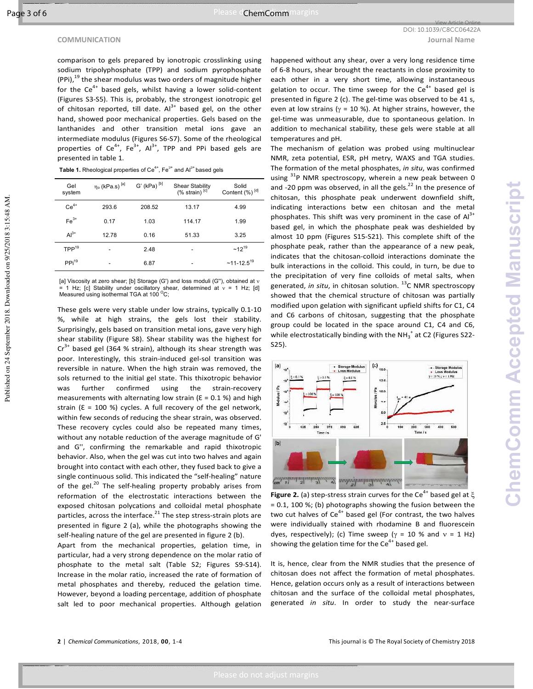Published on 24 September 2018. Downloaded on 9/25/2018 3:15:48 AM.

Published on 24 September 2018. Downloaded on 9/25/2018 3:15:48 AM

comparison to gels prepared by ionotropic crosslinking using sodium tripolyphosphate (TPP) and sodium pyrophosphate  $(PPi)$ ,<sup>19</sup> the shear modulus was two orders of magnitude higher for the  $Ce^{4+}$  based gels, whilst having a lower solid-content (Figures S3-S5). This is, probably, the strongest ionotropic gel of chitosan reported, till date.  $Al^{3+}$  based gel, on the other hand, showed poor mechanical properties. Gels based on the lanthanides and other transition metal ions gave an intermediate modulus (Figures S6-S7). Some of the rheological properties of  $Ce^{4+}$ ,  $Fe^{3+}$ ,  $Al^{3+}$ , TPP and PPi based gels are presented in table 1.

| Table 1. Rheological properties of Ce <sup>4+</sup> , Fe <sup>3+</sup> and Al <sup>3+</sup> based gels |  |
|--------------------------------------------------------------------------------------------------------|--|
|--------------------------------------------------------------------------------------------------------|--|

| Gel<br>system     | $ηo$ (kPa.s) $[a]$ | G' (kPa) $^{[b]}$ | <b>Shear Stability</b><br>$(%$ strain) $[c]$ | Solid<br>Content (%) [d]  |
|-------------------|--------------------|-------------------|----------------------------------------------|---------------------------|
| $Ce4+$            | 293.6              | 208.52            | 13.17                                        | 4.99                      |
| $Fe3+$            | 0.17               | 1.03              | 114.17                                       | 1.99                      |
| $Al3+$            | 12.78              | 0.16              | 51.33                                        | 3.25                      |
| TPP <sup>19</sup> |                    | 2.48              | ۰                                            | $~12^{19}$                |
| PPi <sup>19</sup> |                    | 6.87              |                                              | $~11$ -12.5 <sup>19</sup> |

[a] Viscosity at zero shear; [b] Storage (G') and loss moduli (G''), obtained at v = 1 Hz; [c] Stability under oscillatory shear, determined at  $v$  = 1 Hz; [d]<br>Measured using isothermal TGA at 100 <sup>o</sup>C;

These gels were very stable under low strains, typically 0.1-10 %, while at high strains, the gels lost their stability. Surprisingly, gels based on transition metal ions, gave very high shear stability (Figure S8). Shear stability was the highest for  $Cr<sup>3+</sup>$  based gel (364 % strain), although its shear strength was poor. Interestingly, this strain-induced gel-sol transition was reversible in nature. When the high strain was removed, the sols returned to the initial gel state. This thixotropic behavior was further confirmed using the strain-recovery measurements with alternating low strain ( $E = 0.1$  %) and high strain ( $\epsilon$  = 100 %) cycles. A full recovery of the gel network, within few seconds of reducing the shear strain, was observed. These recovery cycles could also be repeated many times, without any notable reduction of the average magnitude of G' and G'', confirming the remarkable and rapid thixotropic behavior. Also, when the gel was cut into two halves and again brought into contact with each other, they fused back to give a single continuous solid. This indicated the "self-healing" nature of the gel. $^{20}$  The self-healing property probably arises from reformation of the electrostatic interactions between the exposed chitosan polycations and colloidal metal phosphate particles, across the interface. $^{21}$  The step stress-strain plots are presented in figure 2 (a), while the photographs showing the self-healing nature of the gel are presented in figure 2 (b).

Apart from the mechanical properties, gelation time, in particular, had a very strong dependence on the molar ratio of phosphate to the metal salt (Table S2; Figures S9-S14). Increase in the molar ratio, increased the rate of formation of metal phosphates and thereby, reduced the gelation time. However, beyond a loading percentage, addition of phosphate salt led to poor mechanical properties. Although gelation

happened without any shear, over a very long residence time of 6-8 hours, shear brought the reactants in close proximity to each other in a very short time, allowing instantaneous gelation to occur. The time sweep for the  $Ce^{4+}$  based gel is presented in figure 2 (c). The gel-time was observed to be 41 s, even at low strains ( $\gamma$  = 10 %). At higher strains, however, the gel-time was unmeasurable, due to spontaneous gelation. In addition to mechanical stability, these gels were stable at all temperatures and pH.

The mechanism of gelation was probed using multinuclear NMR, zeta potential, ESR, pH metry, WAXS and TGA studies. The formation of the metal phosphates, *in situ*, was confirmed using <sup>31</sup>P NMR spectroscopy, wherein a new peak between 0 and -20 ppm was observed, in all the gels. $^{22}$  In the presence of chitosan, this phosphate peak underwent downfield shift, indicating interactions betw een chitosan and the metal phosphates. This shift was very prominent in the case of  $Al<sup>3+</sup>$ based gel, in which the phosphate peak was deshielded by almost 10 ppm (Figures S15-S21). This complete shift of the phosphate peak, rather than the appearance of a new peak, indicates that the chitosan-colloid interactions dominate the bulk interactions in the colloid. This could, in turn, be due to the precipitation of very fine colloids of metal salts, when generated, *in situ*, in chitosan solution.<sup>13</sup>C NMR spectroscopy showed that the chemical structure of chitosan was partially modified upon gelation with significant upfield shifts for C1, C4 and C6 carbons of chitosan, suggesting that the phosphate group could be located in the space around C1, C4 and C6, while electrostatically binding with the NH $_3^+$  at C2 (Figures S22-S25).



**Figure 2.** (a) step-stress strain curves for the Ce<sup>4+</sup> based gel at  $\xi$ = 0.1, 100 %; (b) photographs showing the fusion between the two cut halves of  $Ce^{4+}$  based gel (For contrast, the two halves were individually stained with rhodamine B and fluorescein dyes, respectively); (c) Time sweep ( $\gamma$  = 10 % and  $v$  = 1 Hz) showing the gelation time for the  $Ce^{4+}$  based gel.

It is, hence, clear from the NMR studies that the presence of chitosan does not affect the formation of metal phosphates. Hence, gelation occurs only as a result of interactions between chitosan and the surface of the colloidal metal phosphates, generated *in situ*. In order to study the near-surface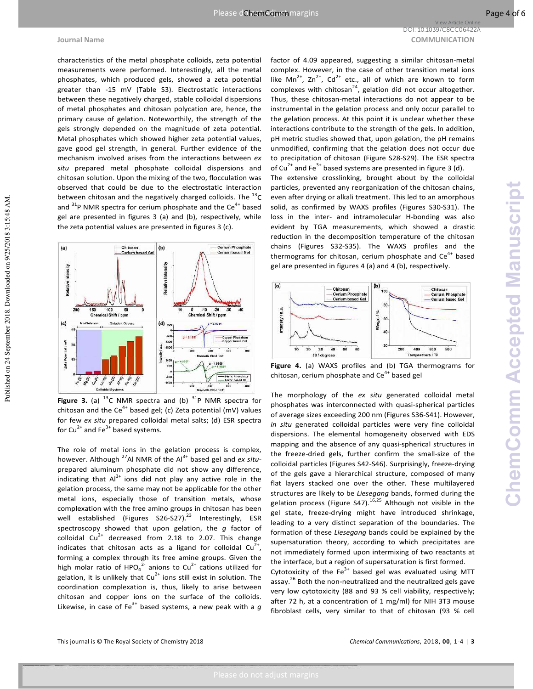**Journal Name COMMUNICATION** DOI: 10.1039/C8CC06422A

View Article Online

Published on 24 September 2018. Downloaded on 9/25/2018 3:15:48 AM.

Published on 24 September 2018. Downloaded on 9/25/2018 3:15:48 AM

characteristics of the metal phosphate colloids, zeta potential measurements were performed. Interestingly, all the metal phosphates, which produced gels, showed a zeta potential greater than -15 mV (Table S3). Electrostatic interactions between these negatively charged, stable colloidal dispersions of metal phosphates and chitosan polycation are, hence, the primary cause of gelation. Noteworthily, the strength of the gels strongly depended on the magnitude of zeta potential. Metal phosphates which showed higher zeta potential values, gave good gel strength, in general. Further evidence of the mechanism involved arises from the interactions between *ex situ* prepared metal phosphate colloidal dispersions and chitosan solution. Upon the mixing of the two, flocculation was observed that could be due to the electrostatic interaction between chitosan and the negatively charged colloids. The  $^{13}$ C and  $31P$  NMR spectra for cerium phosphate and the Ce<sup>4+</sup> based gel are presented in figures 3 (a) and (b), respectively, while the zeta potential values are presented in figures 3 (c).



**Figure 3.** (a)  $^{13}$ C NMR spectra and (b)  $^{31}$ P NMR spectra for chitosan and the Ce<sup>4+</sup> based gel; (c) Zeta potential (mV) values for few *ex situ* prepared colloidal metal salts; (d) ESR spectra for Cu<sup>2+</sup> and Fe<sup>3+</sup> based systems.

The role of metal ions in the gelation process is complex, however. Although <sup>27</sup>Al NMR of the Al<sup>3+</sup> based gel and *ex situ*prepared aluminum phosphate did not show any difference, indicating that  $Al^{3+}$  ions did not play any active role in the gelation process, the same may not be applicable for the other metal ions, especially those of transition metals, whose complexation with the free amino groups in chitosan has been well established (Figures S26-S27).<sup>23</sup> Interestingly, ESR spectroscopy showed that upon gelation, the *g* factor of colloidal  $Cu^{2+}$  decreased from 2.18 to 2.07. This change indicates that chitosan acts as a ligand for colloidal  $Cu^{2+}$ , forming a complex through its free amine groups. Given the high molar ratio of HPO<sub>4</sub><sup>2</sup> anions to Cu<sup>2+</sup> cations utilized for gelation, it is unlikely that  $Cu^{2+}$  ions still exist in solution. The coordination complexation is, thus, likely to arise between chitosan and copper ions on the surface of the colloids. Likewise, in case of Fe<sup>3+</sup> based systems, a new peak with a  $g$ 

factor of 4.09 appeared, suggesting a similar chitosan-metal complex. However, in the case of other transition metal ions like Mn<sup>2+</sup>, Zn<sup>2+</sup>, Cd<sup>2+</sup> etc., all of which are known to form complexes with chitosan<sup>24</sup>, gelation did not occur altogether. Thus, these chitosan-metal interactions do not appear to be instrumental in the gelation process and only occur parallel to the gelation process. At this point it is unclear whether these interactions contribute to the strength of the gels. In addition, pH metric studies showed that, upon gelation, the pH remains unmodified, confirming that the gelation does not occur due to precipitation of chitosan (Figure S28-S29). The ESR spectra of Cu<sup>2+</sup> and Fe<sup>3+</sup> based systems are presented in figure 3 (d).

The extensive crosslinking, brought about by the colloidal particles, prevented any reorganization of the chitosan chains, even after drying or alkali treatment. This led to an amorphous solid, as confirmed by WAXS profiles (Figures S30-S31). The loss in the inter- and intramolecular H-bonding was also evident by TGA measurements, which showed a drastic reduction in the decomposition temperature of the chitosan chains (Figures S32-S35). The WAXS profiles and the thermograms for chitosan, cerium phosphate and  $Ce<sup>4+</sup>$  based gel are presented in figures 4 (a) and 4 (b), respectively.



**Figure 4.** (a) WAXS profiles and (b) TGA thermograms for chitosan, cerium phosphate and  $Ce<sup>4+</sup>$  based gel

The morphology of the *ex situ* generated colloidal metal phosphates was interconnected with quasi-spherical particles of average sizes exceeding 200 nm (Figures S36-S41). However, *in situ* generated colloidal particles were very fine colloidal dispersions. The elemental homogeneity observed with EDS mapping and the absence of any quasi-spherical structures in the freeze-dried gels, further confirm the small-size of the colloidal particles (Figures S42-S46). Surprisingly, freeze-drying of the gels gave a hierarchical structure, composed of many flat layers stacked one over the other. These multilayered structures are likely to be *Liesegang* bands, formed during the gelation process (Figure S47).<sup>16,25</sup> Although not visible in the gel state, freeze-drying might have introduced shrinkage, leading to a very distinct separation of the boundaries. The formation of these *Liesegang* bands could be explained by the supersaturation theory, according to which precipitates are not immediately formed upon intermixing of two reactants at the interface, but a region of supersaturation is first formed.

Cytotoxicity of the  $Fe<sup>3+</sup>$  based gel was evaluated using MTT assay.<sup>26</sup> Both the non-neutralized and the neutralized gels gave very low cytotoxicity (88 and 93 % cell viability, respectively; after 72 h, at a concentration of 1 mg/ml) for NIH 3T3 mouse fibroblast cells, very similar to that of chitosan (93 % cell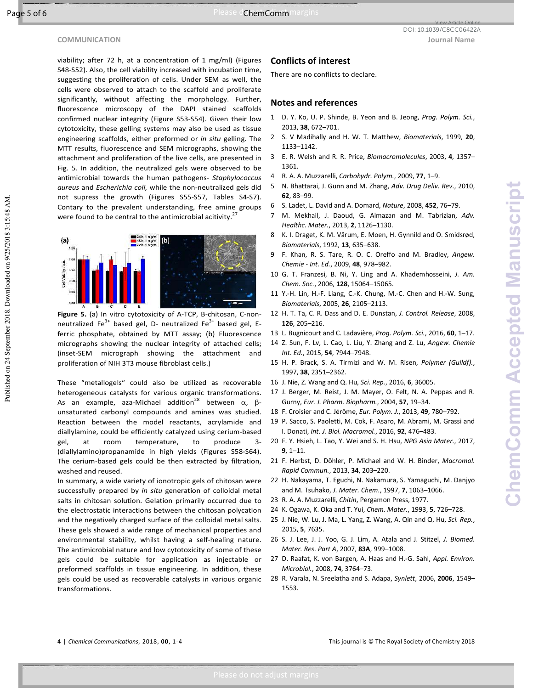Published on 24 September 2018. Downloaded on 9/25/2018 3:15:48 AM.

Published on 24 September 2018. Downloaded on 9/25/2018 3:15:48 AM

viability; after 72 h, at a concentration of 1 mg/ml) (Figures S48-S52). Also, the cell viability increased with incubation time, suggesting the proliferation of cells. Under SEM as well, the cells were observed to attach to the scaffold and proliferate significantly, without affecting the morphology. Further, fluorescence microscopy of the DAPI stained scaffolds confirmed nuclear integrity (Figure S53-S54). Given their low cytotoxicity, these gelling systems may also be used as tissue engineering scaffolds, either preformed or *in situ* gelling. The MTT results, fluorescence and SEM micrographs, showing the attachment and proliferation of the live cells, are presented in Fig. 5. In addition, the neutralized gels were observed to be antimicrobial towards the human pathogens- *Staphylococcus aureus* and *Escherichia coli,* while the non-neutralized gels did not supress the growth (Figures S55-S57, Tables S4-S7). Contary to the prevalent understanding, free amine groups were found to be central to the antimicrobial acitivity.<sup>27</sup>



**Figure 5.** (a) In vitro cytotoxicity of A-TCP, B-chitosan, C-nonneutralized  $Fe^{3+}$  based gel, D- neutralized  $Fe^{3+}$  based gel, Eferric phosphate, obtained by MTT assay; (b) Fluorescence micrographs showing the nuclear integrity of attached cells; (inset-SEM micrograph showing the attachment and proliferation of NIH 3T3 mouse fibroblast cells.)

These "metallogels" could also be utilized as recoverable heterogeneous catalysts for various organic transformations. As an example, aza-Michael addition<sup>28</sup> between  $\alpha$ , βunsaturated carbonyl compounds and amines was studied. Reaction between the model reactants, acrylamide and diallylamine, could be efficiently catalyzed using cerium-based gel, at room temperature, to produce 3- (diallylamino)propanamide in high yields (Figures S58-S64). The cerium-based gels could be then extracted by filtration, washed and reused.

In summary, a wide variety of ionotropic gels of chitosan were successfully prepared by *in situ* generation of colloidal metal salts in chitosan solution. Gelation primarily occurred due to the electrostatic interactions between the chitosan polycation and the negatively charged surface of the colloidal metal salts. These gels showed a wide range of mechanical properties and environmental stability, whilst having a self-healing nature. The antimicrobial nature and low cytotoxicity of some of these gels could be suitable for application as injectable or preformed scaffolds in tissue engineering. In addition, these gels could be used as recoverable catalysts in various organic transformations.

#### **Conflicts of interest**

There are no conflicts to declare.

#### **Notes and references**

- 1 D. Y. Ko, U. P. Shinde, B. Yeon and B. Jeong, *Prog. Polym. Sci.*, 2013, **38**, 672–701.
- 2 S. V Madihally and H. W. T. Matthew, *Biomaterials*, 1999, **20**, 1133–1142.
- 3 E. R. Welsh and R. R. Price, *Biomacromolecules*, 2003, **4**, 1357– 1361.
- 4 R. A. A. Muzzarelli, *Carbohydr. Polym.*, 2009, **77**, 1–9.
- 5 N. Bhattarai, J. Gunn and M. Zhang, *Adv. Drug Deliv. Rev.*, 2010, **62**, 83–99.
- 6 S. Ladet, L. David and A. Domard, *Nature*, 2008, **452**, 76–79.
- 7 M. Mekhail, J. Daoud, G. Almazan and M. Tabrizian, *Adv. Healthc. Mater.*, 2013, **2**, 1126–1130.
- 8 K. I. Draget, K. M. Värum, E. Moen, H. Gynnild and O. Smidsrød, *Biomaterials*, 1992, **13**, 635–638.
- 9 F. Khan, R. S. Tare, R. O. C. Oreffo and M. Bradley, *Angew. Chemie - Int. Ed.*, 2009, **48**, 978–982.
- 10 G. T. Franzesi, B. Ni, Y. Ling and A. Khademhosseini, *J. Am. Chem. Soc.*, 2006, **128**, 15064–15065.
- 11 Y.-H. Lin, H.-F. Liang, C.-K. Chung, M.-C. Chen and H.-W. Sung, *Biomaterials*, 2005, **26**, 2105–2113.
- 12 H. T. Ta, C. R. Dass and D. E. Dunstan, *J. Control. Release*, 2008, **126**, 205–216.
- 13 L. Bugnicourt and C. Ladavière, *Prog. Polym. Sci.*, 2016, **60**, 1–17.
- 14 Z. Sun, F. Lv, L. Cao, L. Liu, Y. Zhang and Z. Lu, *Angew. Chemie Int. Ed.*, 2015, **54**, 7944–7948.
- 15 H. P. Brack, S. A. Tirmizi and W. M. Risen, *Polymer (Guildf).*, 1997, **38**, 2351–2362.
- 16 J. Nie, Z. Wang and Q. Hu, *Sci. Rep.*, 2016, **6**, 36005.
- 17 J. Berger, M. Reist, J. M. Mayer, O. Felt, N. A. Peppas and R. Gurny, *Eur. J. Pharm. Biopharm.*, 2004, **57**, 19–34.
- 18 F. Croisier and C. Jérôme, *Eur. Polym. J.*, 2013, **49**, 780–792.
- 19 P. Sacco, S. Paoletti, M. Cok, F. Asaro, M. Abrami, M. Grassi and I. Donati, *Int. J. Biol. Macromol.*, 2016, **92**, 476–483.
- 20 F. Y. Hsieh, L. Tao, Y. Wei and S. H. Hsu, *NPG Asia Mater.*, 2017, **9**, 1–11.
- 21 F. Herbst, D. Döhler, P. Michael and W. H. Binder, *Macromol. Rapid Commun.*, 2013, **34**, 203–220.
- 22 H. Nakayama, T. Eguchi, N. Nakamura, S. Yamaguchi, M. Danjyo and M. Tsuhako, *J. Mater. Chem.*, 1997, **7**, 1063–1066.
- 23 R. A. A. Muzzarelli, *Chitin*, Pergamon Press, 1977.
- 24 K. Ogawa, K. Oka and T. Yui, *Chem. Mater.*, 1993, **5**, 726–728.
- 25 J. Nie, W. Lu, J. Ma, L. Yang, Z. Wang, A. Qin and Q. Hu, *Sci. Rep.*, 2015, **5**, 7635.
- 26 S. J. Lee, J. J. Yoo, G. J. Lim, A. Atala and J. Stitzel, *J. Biomed. Mater. Res. Part A*, 2007, **83A**, 999–1008.
- 27 D. Raafat, K. von Bargen, A. Haas and H.-G. Sahl, *Appl. Environ. Microbiol.*, 2008, **74**, 3764–73.
- 28 R. Varala, N. Sreelatha and S. Adapa, *Synlett*, 2006, **2006**, 1549– 1553.

**4** | *Chemical Communications*, 2018, **00**, 1-4 This journal is © The Royal Society of Chemistry 2018